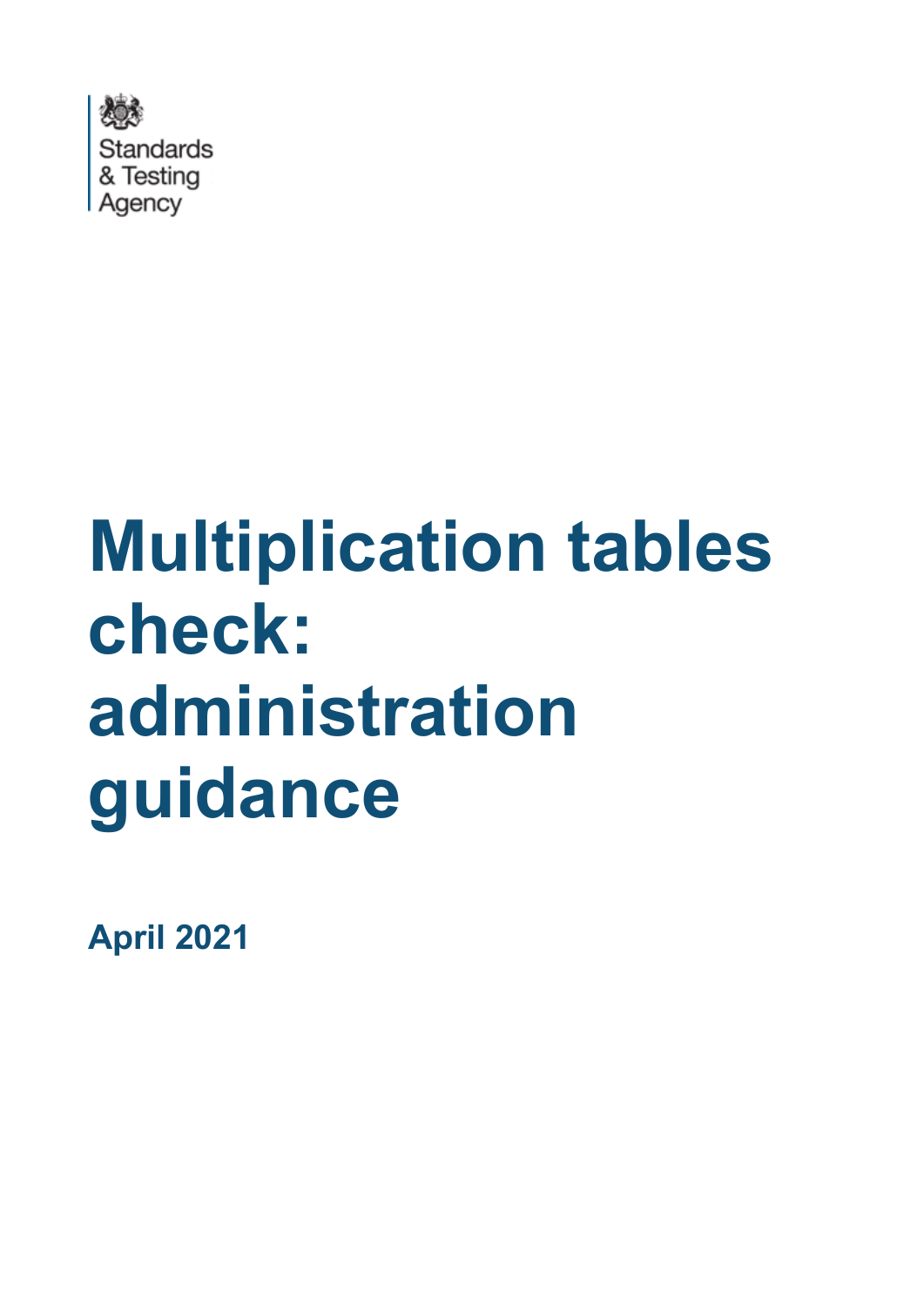

# **Multiplication tables check: administration guidance**

**April 2021**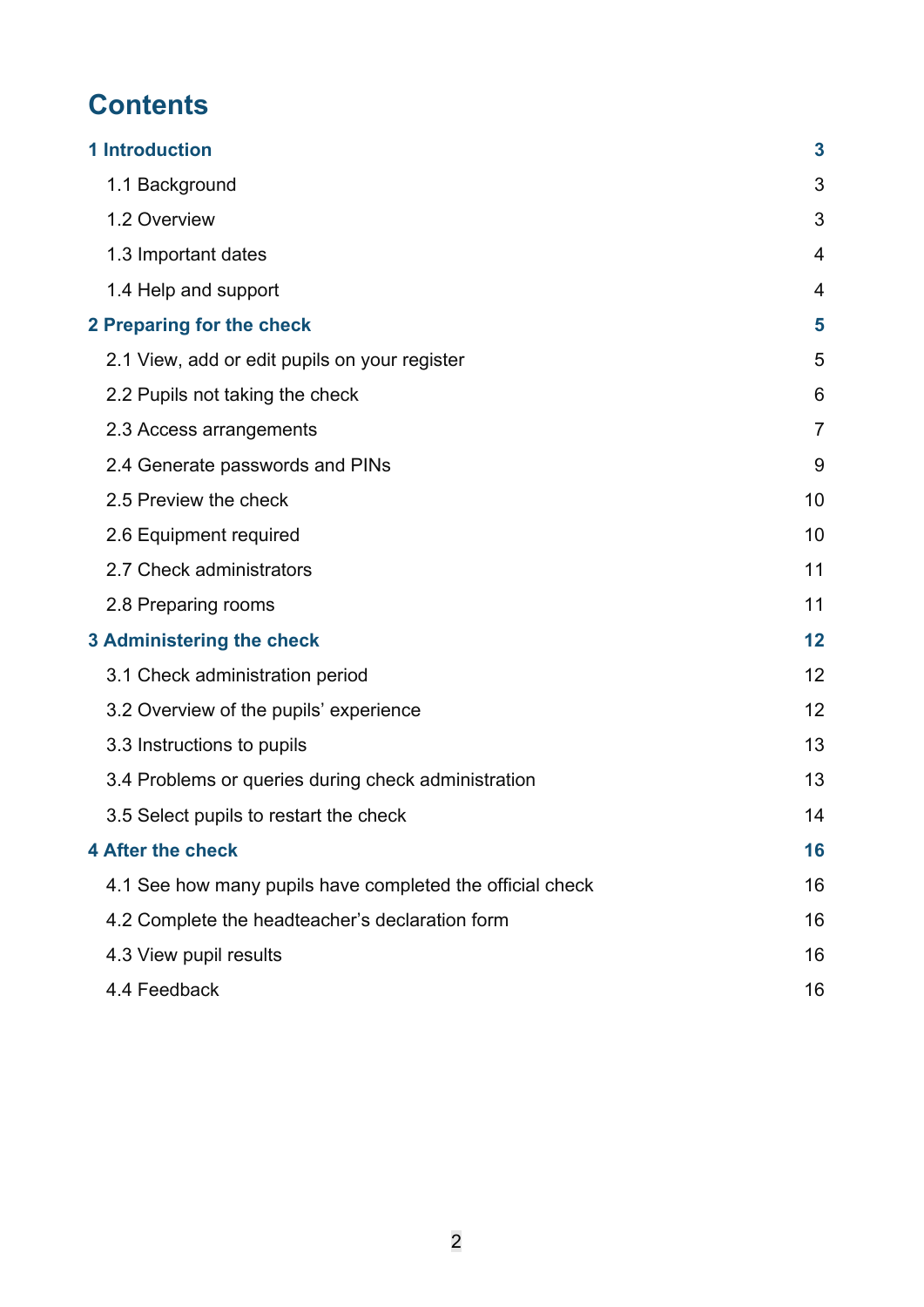# **Contents**

| <b>1 Introduction</b>                                     | 3              |
|-----------------------------------------------------------|----------------|
| 1.1 Background                                            | 3              |
| 1.2 Overview                                              | 3              |
| 1.3 Important dates                                       | 4              |
| 1.4 Help and support                                      | 4              |
| 2 Preparing for the check                                 | 5              |
| 2.1 View, add or edit pupils on your register             | 5              |
| 2.2 Pupils not taking the check                           | 6              |
| 2.3 Access arrangements                                   | $\overline{7}$ |
| 2.4 Generate passwords and PINs                           | 9              |
| 2.5 Preview the check                                     | 10             |
| 2.6 Equipment required                                    | 10             |
| 2.7 Check administrators                                  | 11             |
| 2.8 Preparing rooms                                       | 11             |
| 3 Administering the check                                 | 12             |
| 3.1 Check administration period                           | 12             |
| 3.2 Overview of the pupils' experience                    | 12             |
| 3.3 Instructions to pupils                                | 13             |
| 3.4 Problems or queries during check administration       | 13             |
| 3.5 Select pupils to restart the check                    | 14             |
| <b>4 After the check</b>                                  | 16             |
| 4.1 See how many pupils have completed the official check | 16             |
| 4.2 Complete the headteacher's declaration form           | 16             |
| 4.3 View pupil results                                    | 16             |
| 4.4 Feedback                                              | 16             |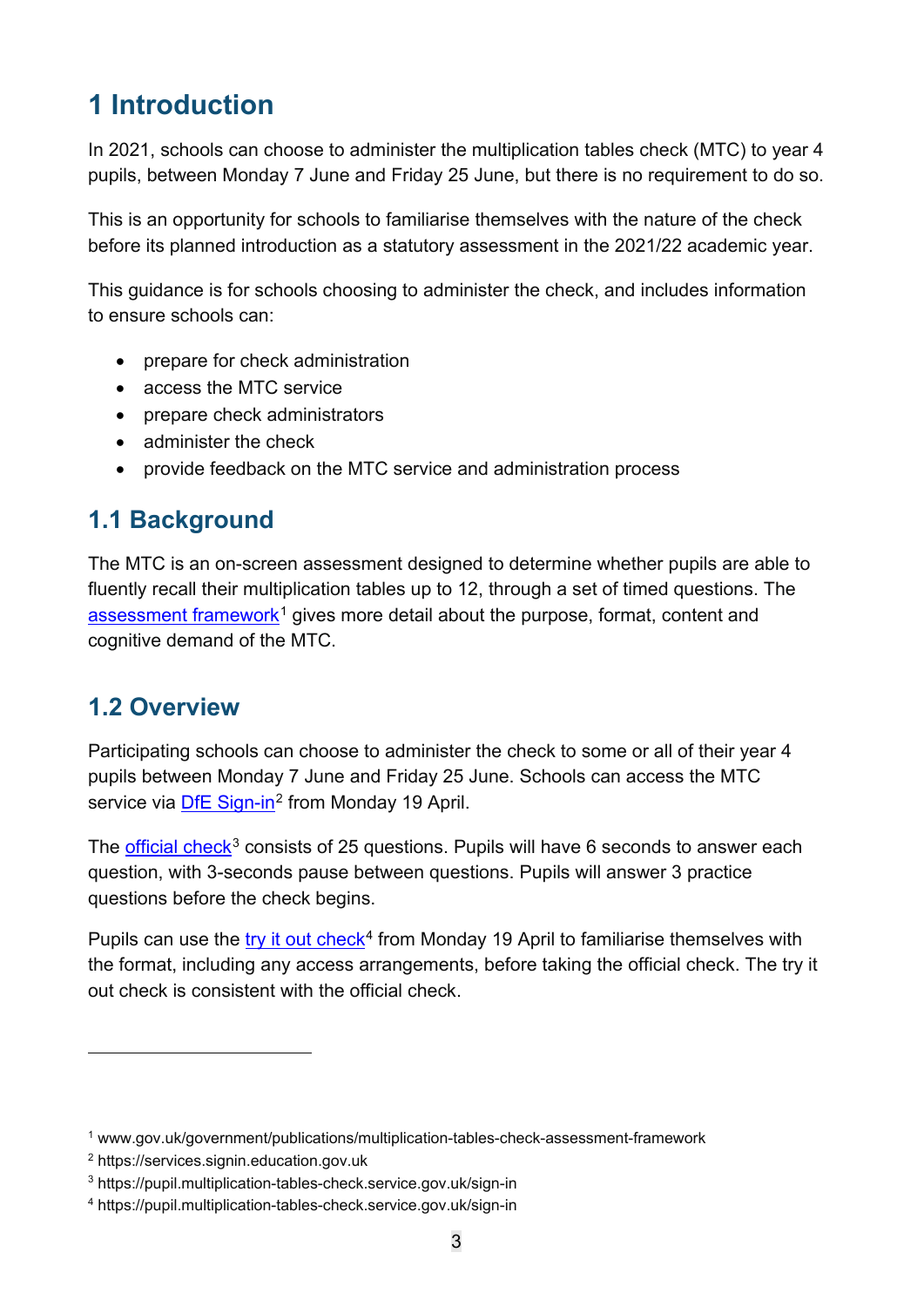# <span id="page-2-0"></span>**1 Introduction**

In 2021, schools can choose to administer the multiplication tables check (MTC) to year 4 pupils, between Monday 7 June and Friday 25 June, but there is no requirement to do so.

This is an opportunity for schools to familiarise themselves with the nature of the check before its planned introduction as a statutory assessment in the 2021/22 academic year.

This guidance is for schools choosing to administer the check, and includes information to ensure schools can:

- prepare for check administration
- access the MTC service
- prepare check administrators
- administer the check
- provide feedback on the MTC service and administration process

## <span id="page-2-1"></span>**1.1 Background**

The MTC is an on-screen assessment designed to determine whether pupils are able to fluently recall their multiplication tables up to 12, through a set of timed questions. The [assessment framework](https://www.gov.uk/government/publications/multiplication-tables-check-assessment-framework)<sup>[1](#page-2-3)</sup> gives more detail about the purpose, format, content and cognitive demand of the MTC.

## <span id="page-2-2"></span>**1.2 Overview**

Participating schools can choose to administer the check to some or all of their year 4 pupils between Monday 7 June and Friday 25 June. Schools can access the MTC service via **DfE Sign-in**<sup>[2](#page-2-4)</sup> from Monday 19 April.

The [official check](https://pupil.multiplication-tables-check.service.gov.uk/)<sup>[3](#page-2-5)</sup> consists of 25 questions. Pupils will have 6 seconds to answer each question, with 3-seconds pause between questions. Pupils will answer 3 practice questions before the check begins.

Pupils can use the try it out check<sup>4</sup> from Monday 19 April to familiarise themselves with the format, including any access arrangements, before taking the official check. The try it out check is consistent with the official check.

<span id="page-2-3"></span><sup>1</sup> www.gov.uk/government/publications/multiplication-tables-check-assessment-framework

<span id="page-2-4"></span><sup>2</sup> https://services.signin.education.gov.uk

<span id="page-2-5"></span><sup>3</sup> https://pupil.multiplication-tables-check.service.gov.uk/sign-in

<span id="page-2-6"></span><sup>4</sup> https://pupil.multiplication-tables-check.service.gov.uk/sign-in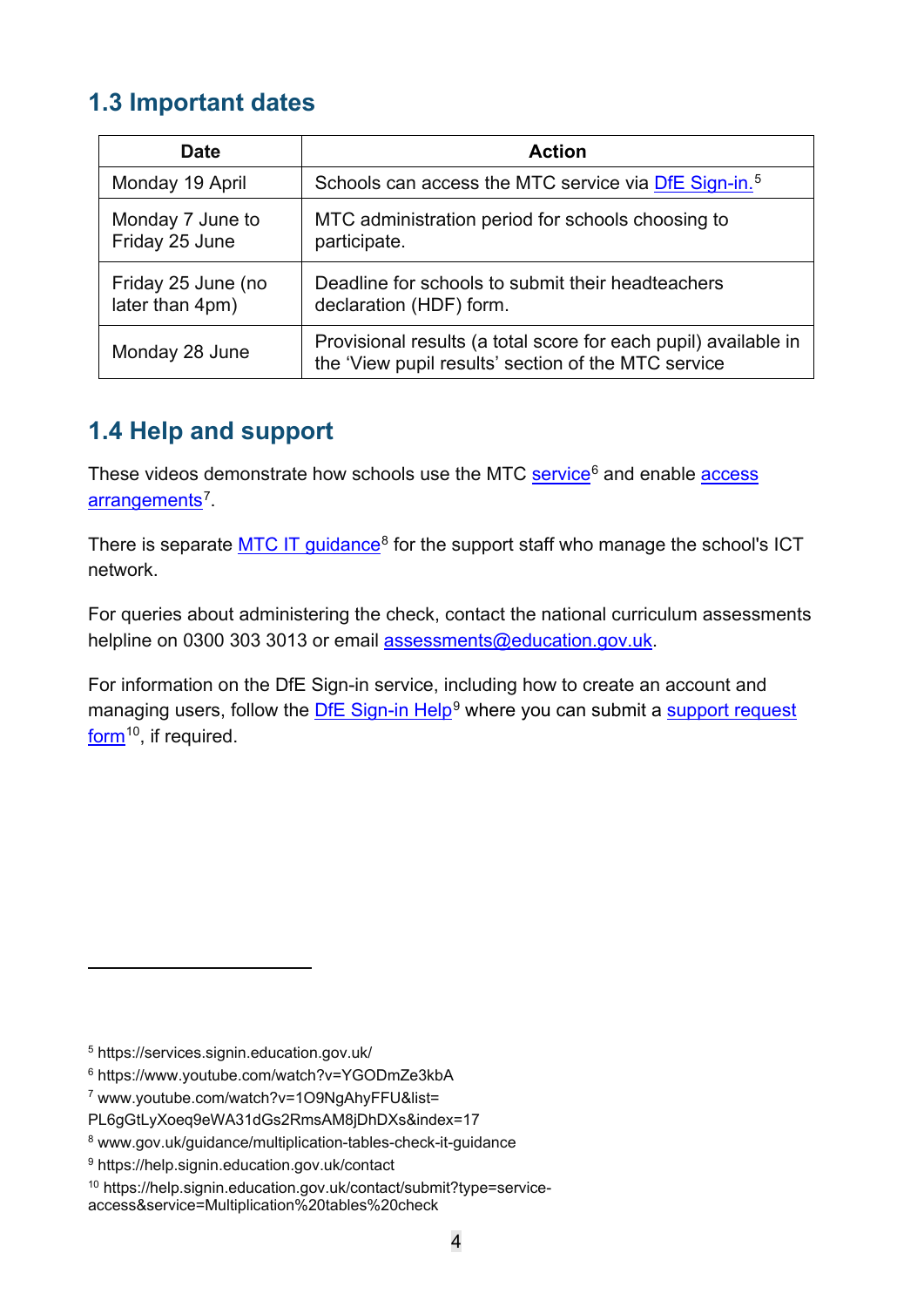## <span id="page-3-0"></span>**1.3 Important dates**

| <b>Date</b>                           | <b>Action</b>                                                                                                          |
|---------------------------------------|------------------------------------------------------------------------------------------------------------------------|
| Monday 19 April                       | Schools can access the MTC service via DfE Sign-in. <sup>5</sup>                                                       |
| Monday 7 June to<br>Friday 25 June    | MTC administration period for schools choosing to<br>participate.                                                      |
| Friday 25 June (no<br>later than 4pm) | Deadline for schools to submit their headteachers<br>declaration (HDF) form.                                           |
| Monday 28 June                        | Provisional results (a total score for each pupil) available in<br>the 'View pupil results' section of the MTC service |

## <span id="page-3-1"></span>**1.4 Help and support**

These videos demonstrate how schools use the MTC service<sup>6</sup> and enable access [arrangements](https://www.youtube.com/watch?v=1O9NgAhyFFU&list=PL6gGtLyXoeq9eWA31dGs2RmsAM8jDhDXs&index=17)<sup>7</sup>.

There is separate [MTC IT guidance](https://www.gov.uk/guidance/multiplication-tables-check-it-guidance)<sup>[8](#page-3-5)</sup> for the support staff who manage the school's ICT network.

For queries about administering the check, contact the national curriculum assessments helpline on 0300 303 3013 or email [assessments@education.gov.uk.](mailto:assessments@education.gov.uk)

For information on the DfE Sign-in service, including how to create an account and managing users, follow the [DfE Sign-in Help](https://help.signin.education.gov.uk/contact)<sup>[9](#page-3-6)</sup> where you can submit a support request [form](https://help.signin.education.gov.uk/contact/submit?type=service-access&service=Multiplication%20tables%20check)<sup>[10](#page-3-7)</sup>, if required.

<span id="page-3-2"></span><sup>5</sup> https://services.signin.education.gov.uk/

<span id="page-3-3"></span><sup>6</sup> https://www.youtube.com/watch?v=YGODmZe3kbA

<span id="page-3-4"></span><sup>7</sup> www.youtube.com/watch?v=1O9NgAhyFFU&list=

PL6gGtLyXoeq9eWA31dGs2RmsAM8jDhDXs&index=17

<span id="page-3-5"></span><sup>8</sup> www.gov.uk/guidance/multiplication-tables-check-it-guidance

<span id="page-3-6"></span><sup>9</sup> https://help.signin.education.gov.uk/contact

<span id="page-3-7"></span><sup>10</sup> https://help.signin.education.gov.uk/contact/submit?type=service-

access&service=Multiplication%20tables%20check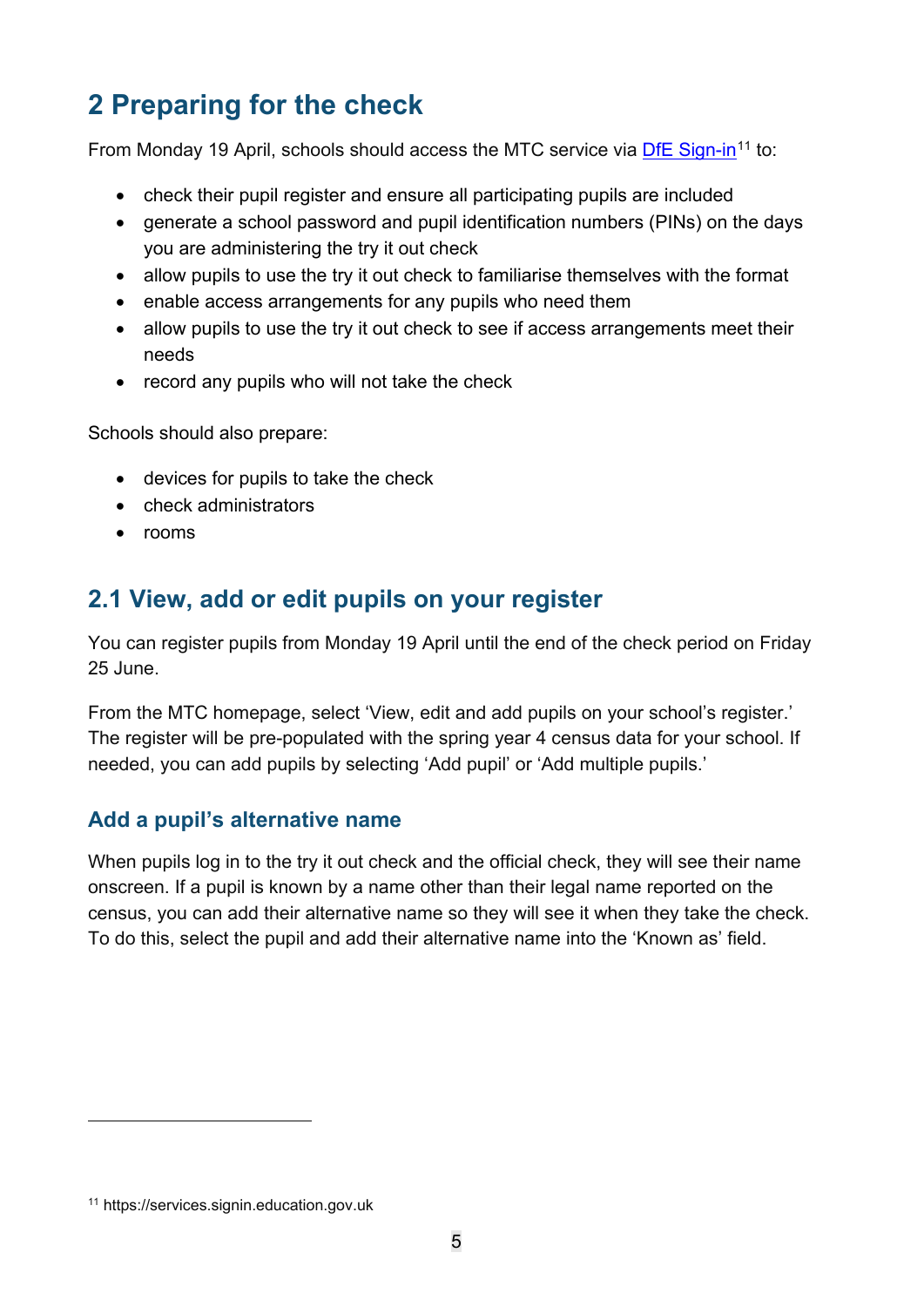# <span id="page-4-0"></span>**2 Preparing for the check**

From Monday 19 April, schools should access the MTC service via [DfE Sign-in](https://services.signin.education.gov.uk/)<sup>[11](#page-4-2)</sup> to:

- check their pupil register and ensure all participating pupils are included
- generate a school password and pupil identification numbers (PINs) on the days you are administering the try it out check
- allow pupils to use the try it out check to familiarise themselves with the format
- enable access arrangements for any pupils who need them
- allow pupils to use the try it out check to see if access arrangements meet their needs
- record any pupils who will not take the check

Schools should also prepare:

- devices for pupils to take the check
- check administrators
- rooms

## <span id="page-4-1"></span>**2.1 View, add or edit pupils on your register**

You can register pupils from Monday 19 April until the end of the check period on Friday 25 June.

From the MTC homepage, select 'View, edit and add pupils on your school's register.' The register will be pre-populated with the spring year 4 census data for your school. If needed, you can add pupils by selecting 'Add pupil' or 'Add multiple pupils.'

#### **Add a pupil's alternative name**

When pupils log in to the try it out check and the official check, they will see their name onscreen. If a pupil is known by a name other than their legal name reported on the census, you can add their alternative name so they will see it when they take the check. To do this, select the pupil and add their alternative name into the 'Known as' field.

<span id="page-4-2"></span><sup>11</sup> https://services.signin.education.gov.uk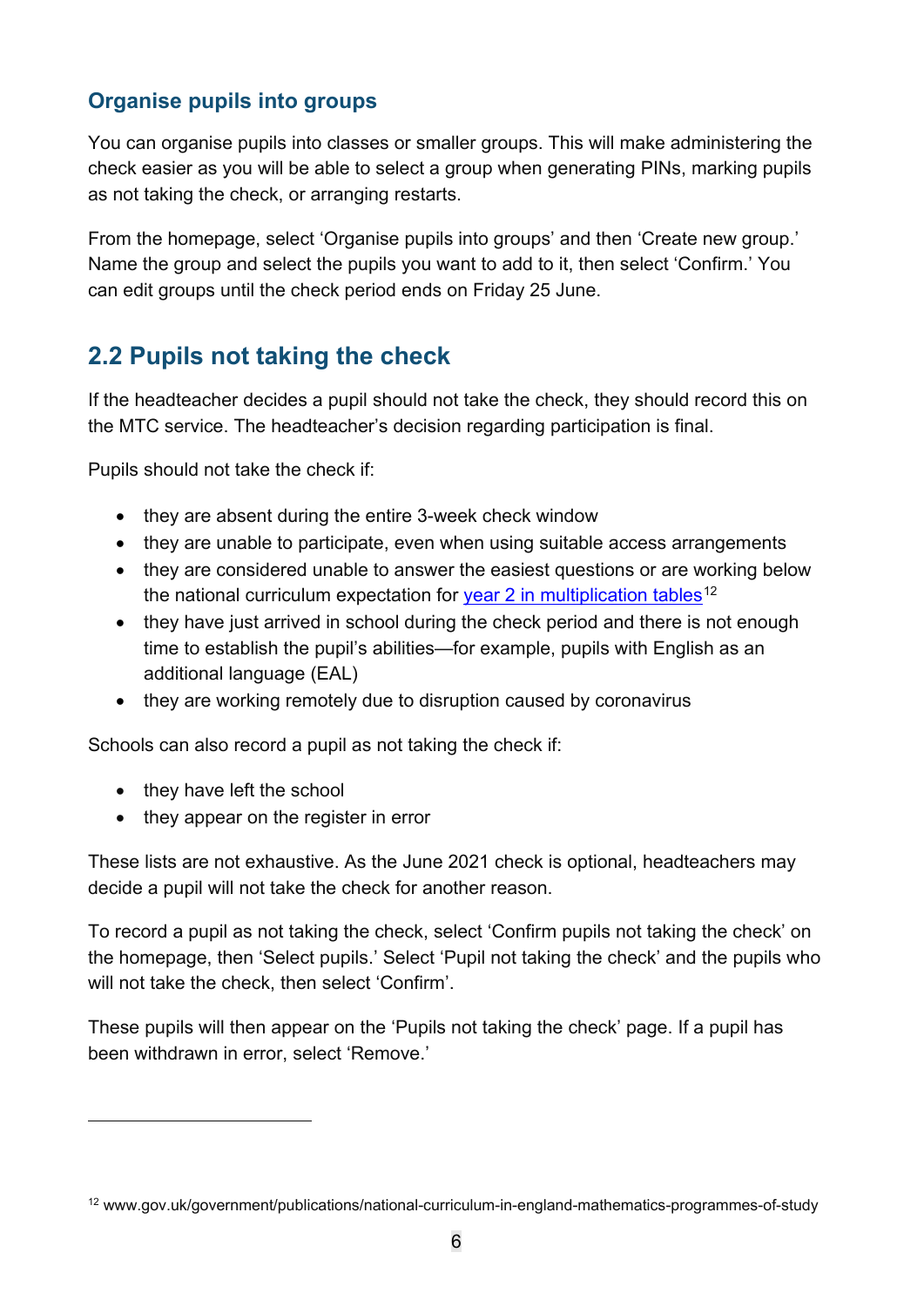### **Organise pupils into groups**

You can organise pupils into classes or smaller groups. This will make administering the check easier as you will be able to select a group when generating PINs, marking pupils as not taking the check, or arranging restarts.

From the homepage, select 'Organise pupils into groups' and then 'Create new group.' Name the group and select the pupils you want to add to it, then select 'Confirm.' You can edit groups until the check period ends on Friday 25 June.

## <span id="page-5-0"></span>**2.2 Pupils not taking the check**

If the headteacher decides a pupil should not take the check, they should record this on the MTC service. The headteacher's decision regarding participation is final.

Pupils should not take the check if:

- they are absent during the entire 3-week check window
- they are unable to participate, even when using suitable access arrangements
- they are considered unable to answer the easiest questions or are working below the national curriculum expectation for [year 2 in multiplication tables](https://www.gov.uk/government/publications/national-curriculum-in-england-mathematics-programmes-of-study)<sup>[12](#page-5-1)</sup>
- they have just arrived in school during the check period and there is not enough time to establish the pupil's abilities—for example, pupils with English as an additional language (EAL)
- they are working remotely due to disruption caused by coronavirus

Schools can also record a pupil as not taking the check if:

- they have left the school
- they appear on the register in error

These lists are not exhaustive. As the June 2021 check is optional, headteachers may decide a pupil will not take the check for another reason.

To record a pupil as not taking the check, select 'Confirm pupils not taking the check' on the homepage, then 'Select pupils.' Select 'Pupil not taking the check' and the pupils who will not take the check, then select 'Confirm'.

These pupils will then appear on the 'Pupils not taking the check' page. If a pupil has been withdrawn in error, select 'Remove.'

<span id="page-5-1"></span><sup>12</sup> www.gov.uk/government/publications/national-curriculum-in-england-mathematics-programmes-of-study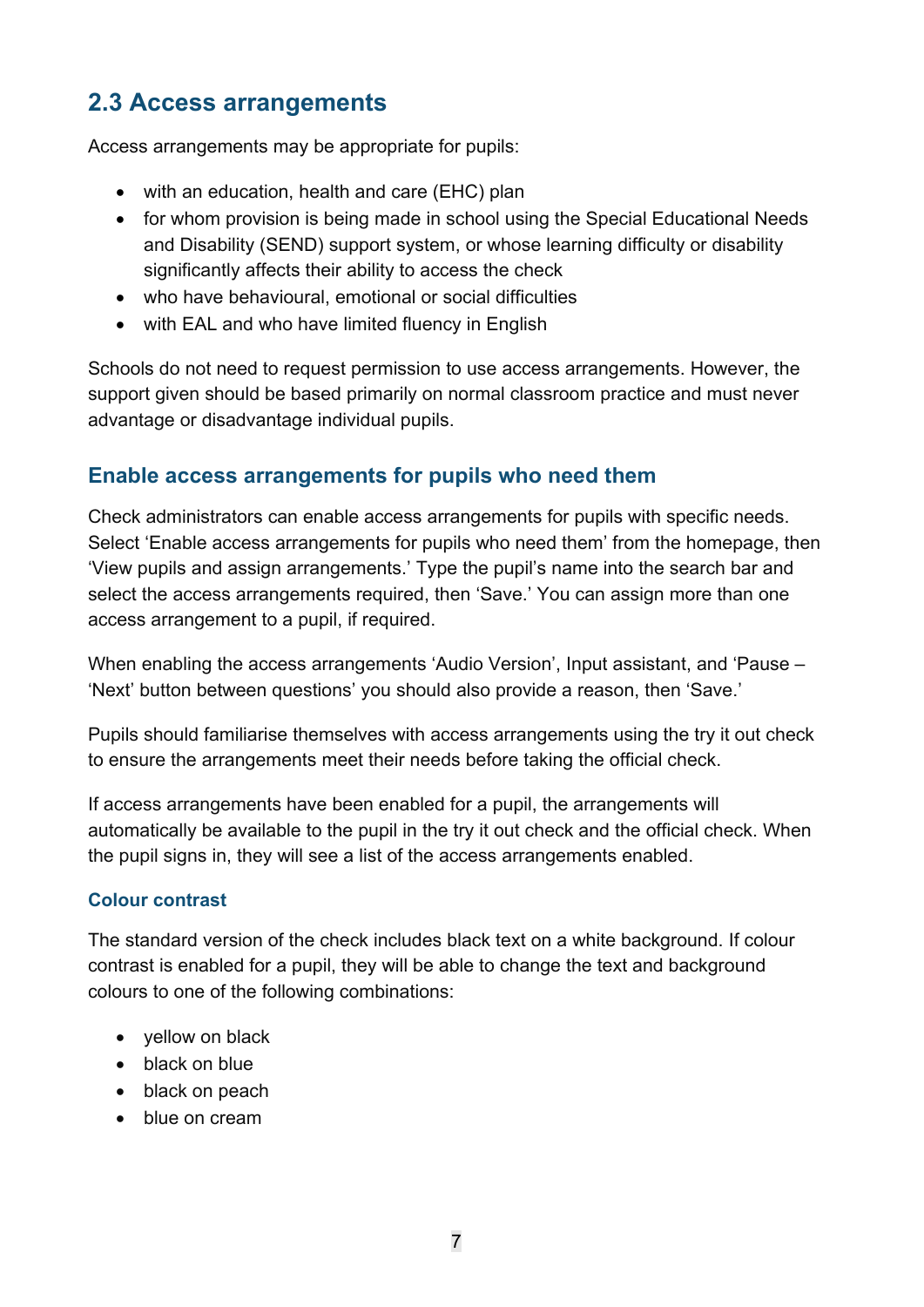## <span id="page-6-0"></span>**2.3 Access arrangements**

Access arrangements may be appropriate for pupils:

- with an education, health and care (EHC) plan
- for whom provision is being made in school using the Special Educational Needs and Disability (SEND) support system, or whose learning difficulty or disability significantly affects their ability to access the check
- who have behavioural, emotional or social difficulties
- with EAL and who have limited fluency in English

Schools do not need to request permission to use access arrangements. However, the support given should be based primarily on normal classroom practice and must never advantage or disadvantage individual pupils.

#### **Enable access arrangements for pupils who need them**

Check administrators can enable access arrangements for pupils with specific needs. Select 'Enable access arrangements for pupils who need them' from the homepage, then 'View pupils and assign arrangements.' Type the pupil's name into the search bar and select the access arrangements required, then 'Save.' You can assign more than one access arrangement to a pupil, if required.

When enabling the access arrangements 'Audio Version', Input assistant, and 'Pause – 'Next' button between questions' you should also provide a reason, then 'Save.'

Pupils should familiarise themselves with access arrangements using the try it out check to ensure the arrangements meet their needs before taking the official check.

If access arrangements have been enabled for a pupil, the arrangements will automatically be available to the pupil in the try it out check and the official check. When the pupil signs in, they will see a list of the access arrangements enabled.

#### **Colour contrast**

The standard version of the check includes black text on a white background. If colour contrast is enabled for a pupil, they will be able to change the text and background colours to one of the following combinations:

- yellow on black
- black on blue
- black on peach
- blue on cream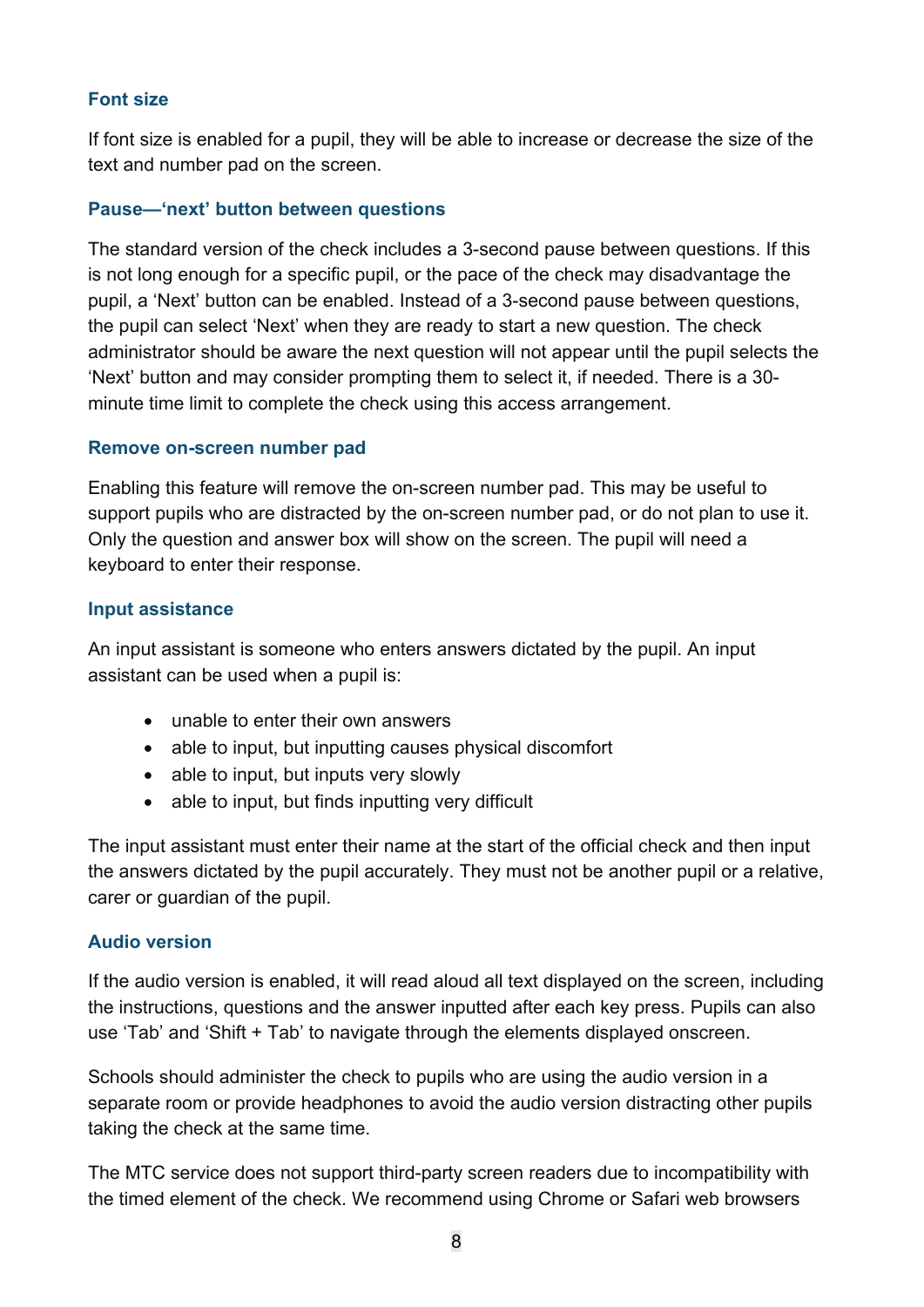#### **Font size**

If font size is enabled for a pupil, they will be able to increase or decrease the size of the text and number pad on the screen.

#### **Pause—'next' button between questions**

The standard version of the check includes a 3-second pause between questions. If this is not long enough for a specific pupil, or the pace of the check may disadvantage the pupil, a 'Next' button can be enabled. Instead of a 3-second pause between questions, the pupil can select 'Next' when they are ready to start a new question. The check administrator should be aware the next question will not appear until the pupil selects the 'Next' button and may consider prompting them to select it, if needed. There is a 30 minute time limit to complete the check using this access arrangement.

#### **Remove on-screen number pad**

Enabling this feature will remove the on-screen number pad. This may be useful to support pupils who are distracted by the on-screen number pad, or do not plan to use it. Only the question and answer box will show on the screen. The pupil will need a keyboard to enter their response.

#### **Input assistance**

An input assistant is someone who enters answers dictated by the pupil. An input assistant can be used when a pupil is:

- unable to enter their own answers
- able to input, but inputting causes physical discomfort
- able to input, but inputs very slowly
- able to input, but finds inputting very difficult

The input assistant must enter their name at the start of the official check and then input the answers dictated by the pupil accurately. They must not be another pupil or a relative, carer or guardian of the pupil.

#### **Audio version**

If the audio version is enabled, it will read aloud all text displayed on the screen, including the instructions, questions and the answer inputted after each key press. Pupils can also use 'Tab' and 'Shift + Tab' to navigate through the elements displayed onscreen.

Schools should administer the check to pupils who are using the audio version in a separate room or provide headphones to avoid the audio version distracting other pupils taking the check at the same time.

The MTC service does not support third-party screen readers due to incompatibility with the timed element of the check. We recommend using Chrome or Safari web browsers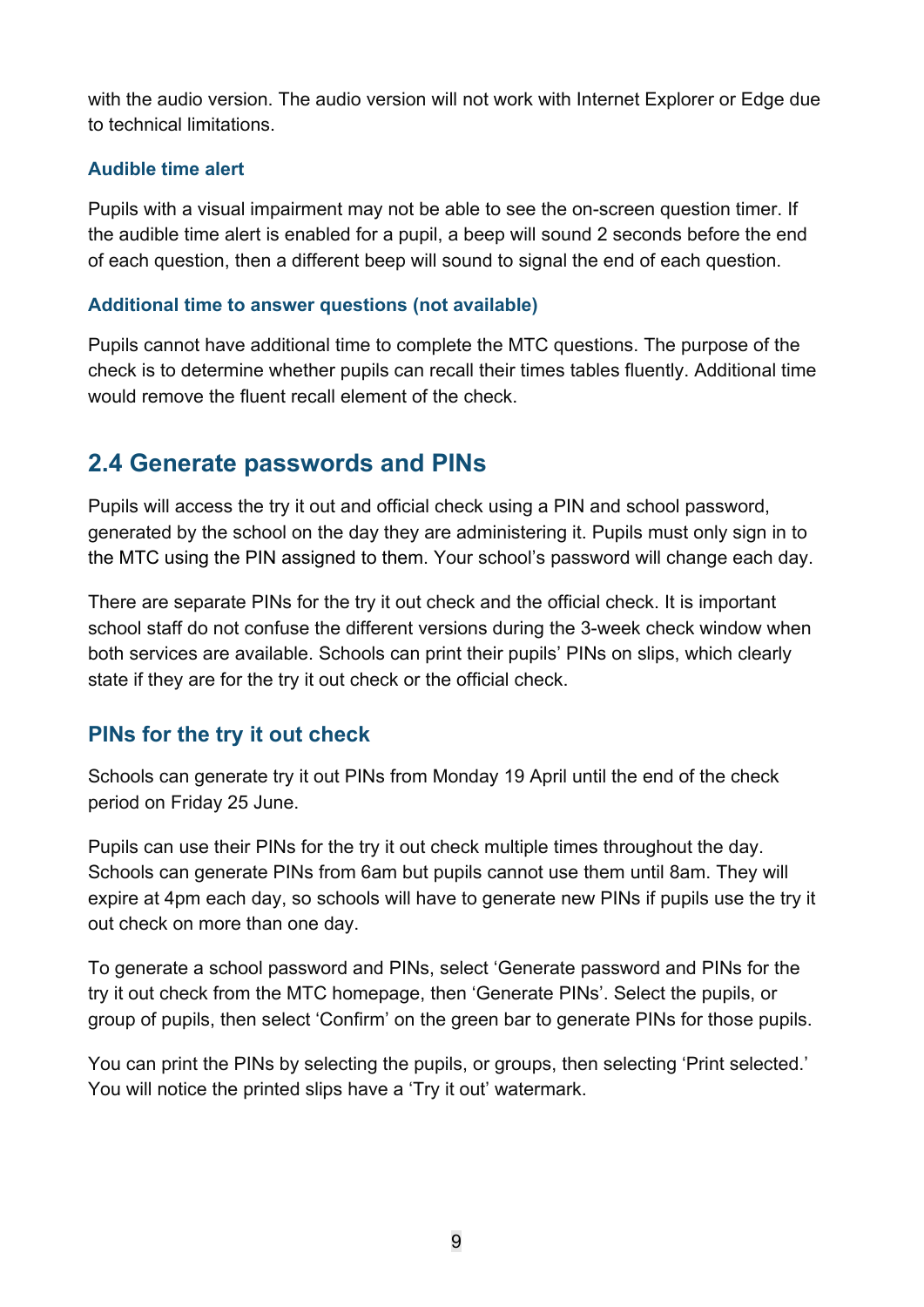with the audio version. The audio version will not work with Internet Explorer or Edge due to technical limitations.

#### **Audible time alert**

Pupils with a visual impairment may not be able to see the on-screen question timer. If the audible time alert is enabled for a pupil, a beep will sound 2 seconds before the end of each question, then a different beep will sound to signal the end of each question.

#### **Additional time to answer questions (not available)**

Pupils cannot have additional time to complete the MTC questions. The purpose of the check is to determine whether pupils can recall their times tables fluently. Additional time would remove the fluent recall element of the check.

## <span id="page-8-0"></span>**2.4 Generate passwords and PINs**

Pupils will access the try it out and official check using a PIN and school password, generated by the school on the day they are administering it. Pupils must only sign in to the MTC using the PIN assigned to them. Your school's password will change each day.

There are separate PINs for the try it out check and the official check. It is important school staff do not confuse the different versions during the 3-week check window when both services are available. Schools can print their pupils' PINs on slips, which clearly state if they are for the try it out check or the official check.

#### **PINs for the try it out check**

Schools can generate try it out PINs from Monday 19 April until the end of the check period on Friday 25 June.

Pupils can use their PINs for the try it out check multiple times throughout the day. Schools can generate PINs from 6am but pupils cannot use them until 8am. They will expire at 4pm each day, so schools will have to generate new PINs if pupils use the try it out check on more than one day.

To generate a school password and PINs, select 'Generate password and PINs for the try it out check from the MTC homepage, then 'Generate PINs'. Select the pupils, or group of pupils, then select 'Confirm' on the green bar to generate PINs for those pupils.

You can print the PINs by selecting the pupils, or groups, then selecting 'Print selected.' You will notice the printed slips have a 'Try it out' watermark.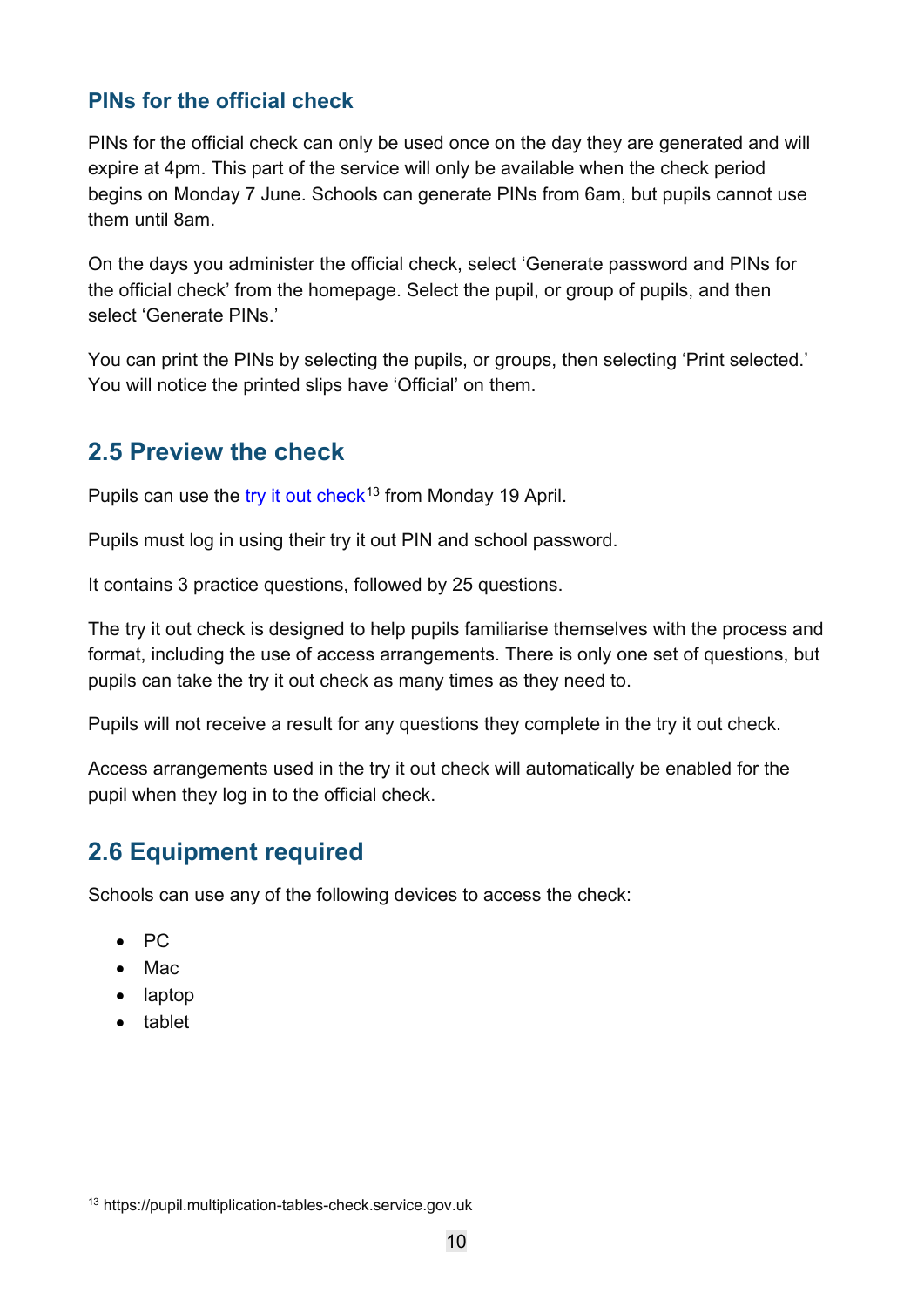#### **PINs for the official check**

PINs for the official check can only be used once on the day they are generated and will expire at 4pm. This part of the service will only be available when the check period begins on Monday 7 June. Schools can generate PINs from 6am, but pupils cannot use them until 8am.

On the days you administer the official check, select 'Generate password and PINs for the official check' from the homepage. Select the pupil, or group of pupils, and then select 'Generate PINs.'

You can print the PINs by selecting the pupils, or groups, then selecting 'Print selected.' You will notice the printed slips have 'Official' on them.

## <span id="page-9-0"></span>**2.5 Preview the check**

Pupils can use the [try it out](https://pupil.multiplication-tables-check.service.gov.uk/) check<sup>[13](#page-9-2)</sup> from Monday 19 April.

Pupils must log in using their try it out PIN and school password.

It contains 3 practice questions, followed by 25 questions.

The try it out check is designed to help pupils familiarise themselves with the process and format, including the use of access arrangements. There is only one set of questions, but pupils can take the try it out check as many times as they need to.

Pupils will not receive a result for any questions they complete in the try it out check.

Access arrangements used in the try it out check will automatically be enabled for the pupil when they log in to the official check.

## <span id="page-9-1"></span>**2.6 Equipment required**

Schools can use any of the following devices to access the check:

- PC
- Mac
- laptop
- tablet

<span id="page-9-2"></span><sup>13</sup> https://pupil.multiplication-tables-check.service.gov.uk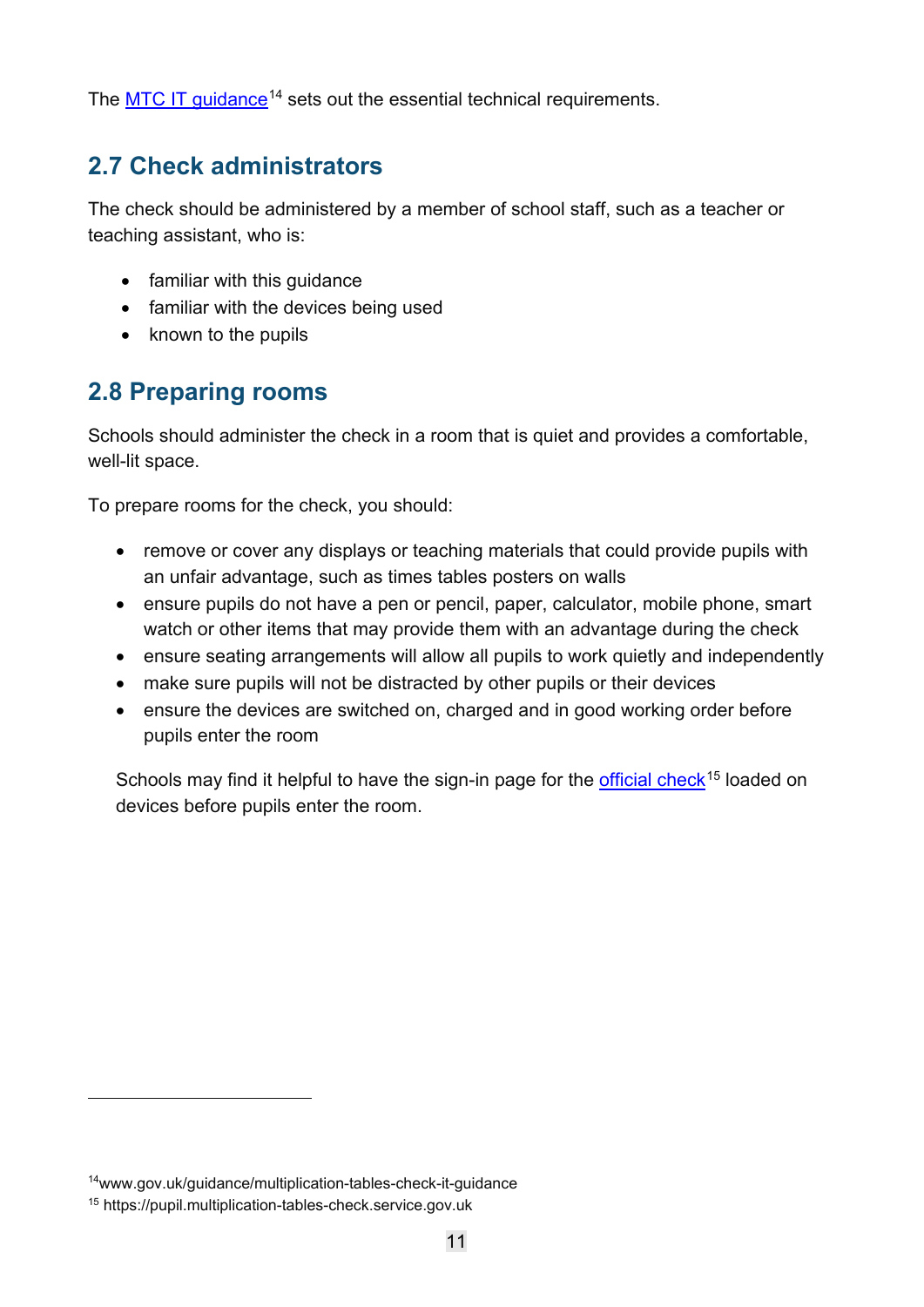The [MTC IT guidance](https://www.gov.uk/guidance/multiplication-tables-check-it-guidance)<sup>[14](#page-10-2)</sup> sets out the essential technical requirements.

## <span id="page-10-0"></span>**2.7 Check administrators**

The check should be administered by a member of school staff, such as a teacher or teaching assistant, who is:

- familiar with this guidance
- familiar with the devices being used
- known to the pupils

## <span id="page-10-1"></span>**2.8 Preparing rooms**

Schools should administer the check in a room that is quiet and provides a comfortable, well-lit space.

To prepare rooms for the check, you should:

- remove or cover any displays or teaching materials that could provide pupils with an unfair advantage, such as times tables posters on walls
- ensure pupils do not have a pen or pencil, paper, calculator, mobile phone, smart watch or other items that may provide them with an advantage during the check
- ensure seating arrangements will allow all pupils to work quietly and independently
- make sure pupils will not be distracted by other pupils or their devices
- ensure the devices are switched on, charged and in good working order before pupils enter the room

Schools may find it helpful to have the sign-in page for the [official check](https://pupil.multiplication-tables-check.service.gov.uk/)<sup>[15](#page-10-3)</sup> loaded on devices before pupils enter the room.

<span id="page-10-2"></span><sup>14</sup>www.gov.uk/guidance/multiplication-tables-check-it-guidance

<span id="page-10-3"></span><sup>15</sup> https://pupil.multiplication-tables-check.service.gov.uk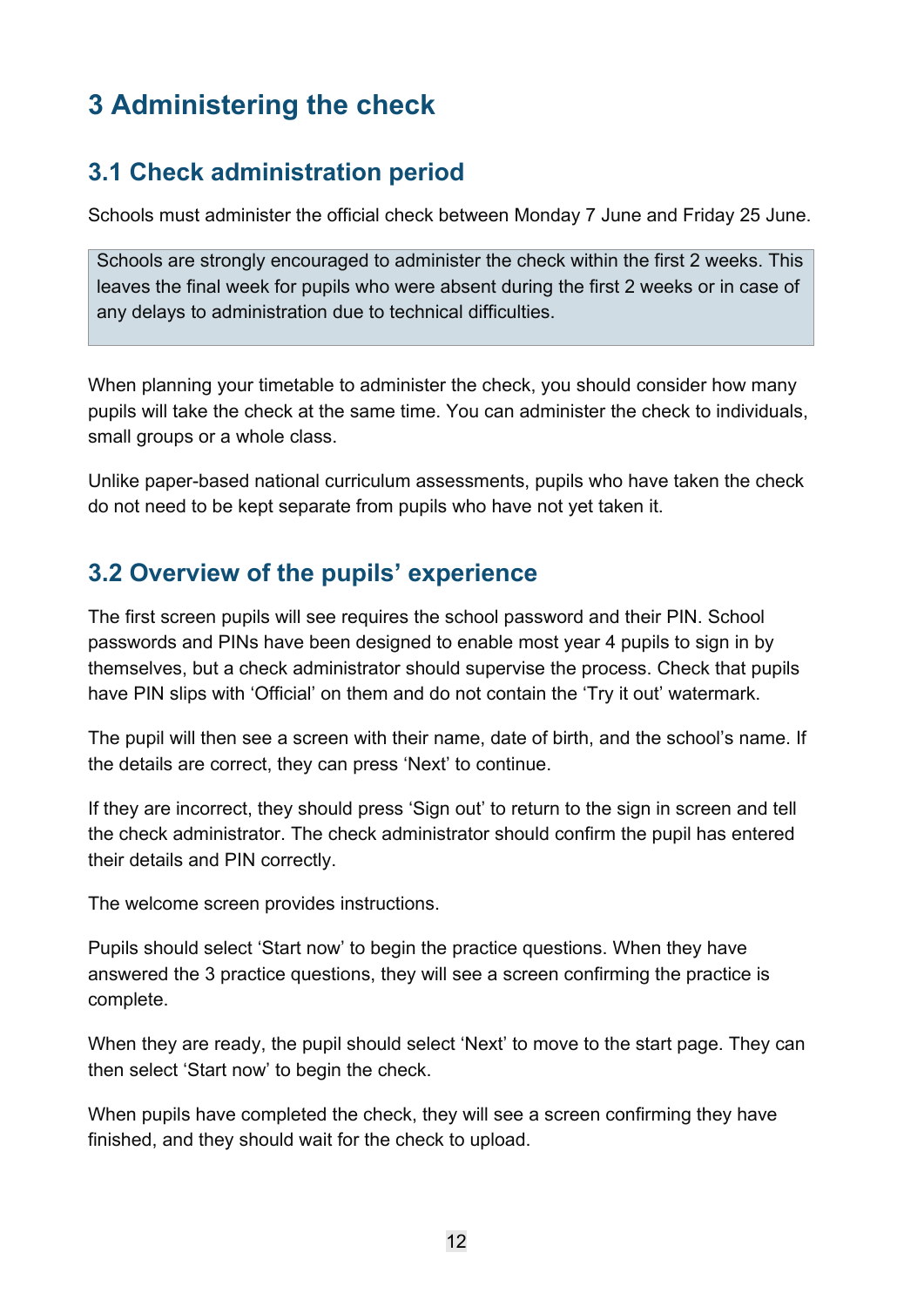# <span id="page-11-0"></span>**3 Administering the check**

## <span id="page-11-1"></span>**3.1 Check administration period**

Schools must administer the official check between Monday 7 June and Friday 25 June.

Schools are strongly encouraged to administer the check within the first 2 weeks. This leaves the final week for pupils who were absent during the first 2 weeks or in case of any delays to administration due to technical difficulties.

When planning your timetable to administer the check, you should consider how many pupils will take the check at the same time. You can administer the check to individuals, small groups or a whole class.

Unlike paper-based national curriculum assessments, pupils who have taken the check do not need to be kept separate from pupils who have not yet taken it.

## <span id="page-11-2"></span>**3.2 Overview of the pupils' experience**

The first screen pupils will see requires the school password and their PIN. School passwords and PINs have been designed to enable most year 4 pupils to sign in by themselves, but a check administrator should supervise the process. Check that pupils have PIN slips with 'Official' on them and do not contain the 'Try it out' watermark.

The pupil will then see a screen with their name, date of birth, and the school's name. If the details are correct, they can press 'Next' to continue.

If they are incorrect, they should press 'Sign out' to return to the sign in screen and tell the check administrator. The check administrator should confirm the pupil has entered their details and PIN correctly.

The welcome screen provides instructions.

Pupils should select 'Start now' to begin the practice questions. When they have answered the 3 practice questions, they will see a screen confirming the practice is complete.

When they are ready, the pupil should select 'Next' to move to the start page. They can then select 'Start now' to begin the check.

When pupils have completed the check, they will see a screen confirming they have finished, and they should wait for the check to upload.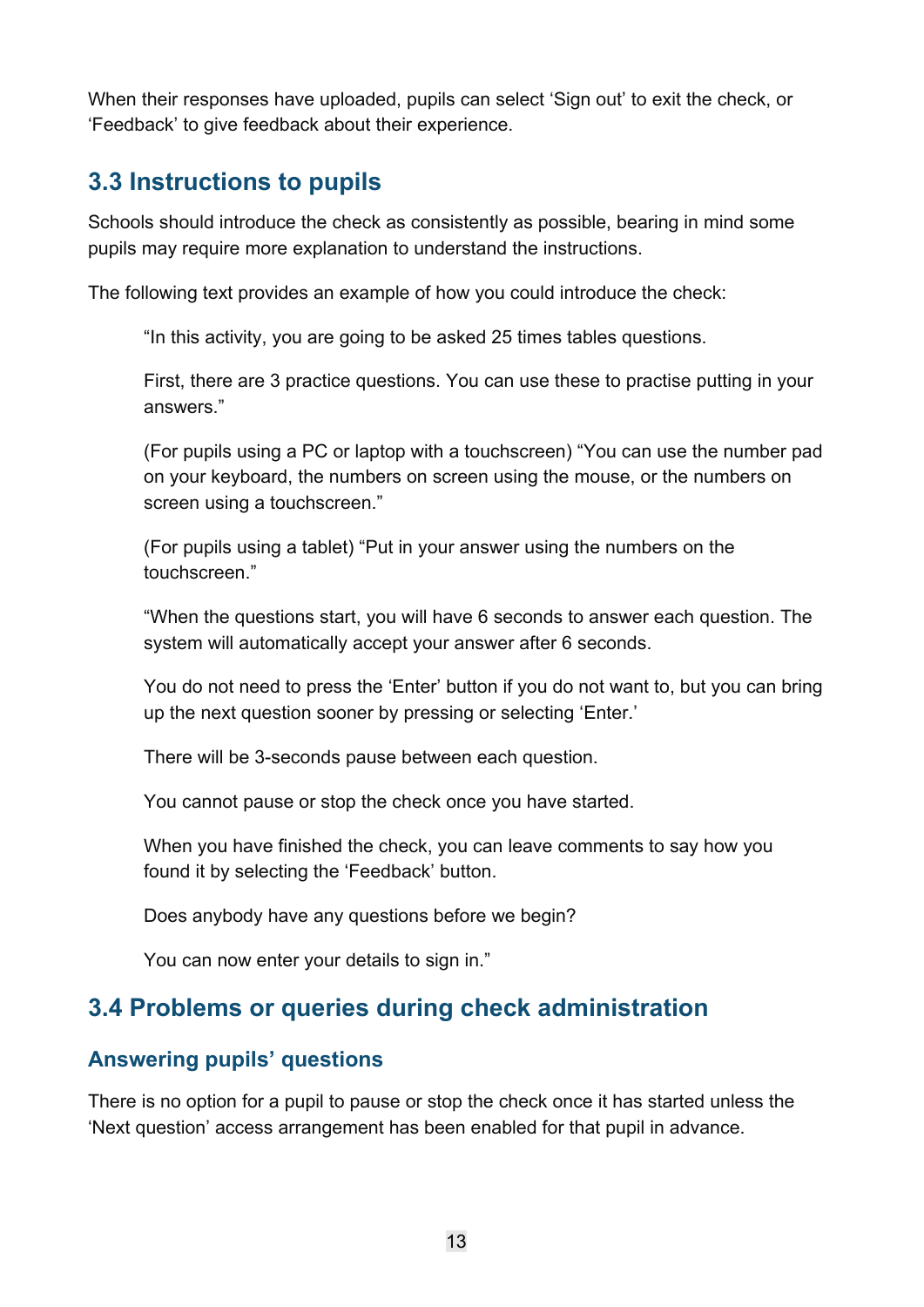When their responses have uploaded, pupils can select 'Sign out' to exit the check, or 'Feedback' to give feedback about their experience.

## <span id="page-12-0"></span>**3.3 Instructions to pupils**

Schools should introduce the check as consistently as possible, bearing in mind some pupils may require more explanation to understand the instructions.

The following text provides an example of how you could introduce the check:

"In this activity, you are going to be asked 25 times tables questions.

First, there are 3 practice questions. You can use these to practise putting in your answers."

(For pupils using a PC or laptop with a touchscreen) "You can use the number pad on your keyboard, the numbers on screen using the mouse, or the numbers on screen using a touchscreen."

(For pupils using a tablet) "Put in your answer using the numbers on the touchscreen."

"When the questions start, you will have 6 seconds to answer each question. The system will automatically accept your answer after 6 seconds.

You do not need to press the 'Enter' button if you do not want to, but you can bring up the next question sooner by pressing or selecting 'Enter.'

There will be 3-seconds pause between each question.

You cannot pause or stop the check once you have started.

When you have finished the check, you can leave comments to say how you found it by selecting the 'Feedback' button.

Does anybody have any questions before we begin?

You can now enter your details to sign in."

## <span id="page-12-1"></span>**3.4 Problems or queries during check administration**

#### **Answering pupils' questions**

There is no option for a pupil to pause or stop the check once it has started unless the 'Next question' access arrangement has been enabled for that pupil in advance.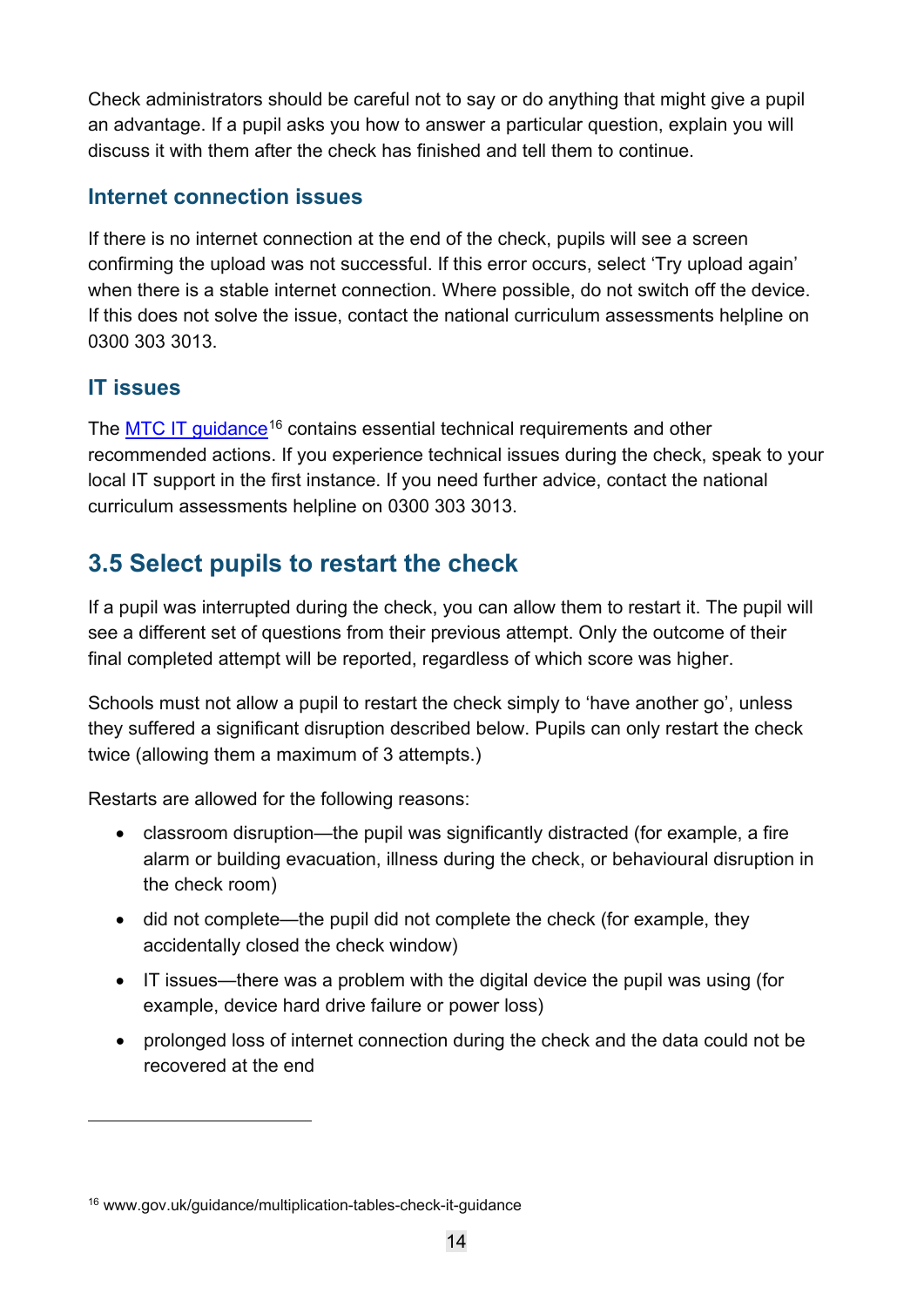Check administrators should be careful not to say or do anything that might give a pupil an advantage. If a pupil asks you how to answer a particular question, explain you will discuss it with them after the check has finished and tell them to continue.

#### **Internet connection issues**

If there is no internet connection at the end of the check, pupils will see a screen confirming the upload was not successful. If this error occurs, select 'Try upload again' when there is a stable internet connection. Where possible, do not switch off the device. If this does not solve the issue, contact the national curriculum assessments helpline on 0300 303 3013.

#### **IT issues**

The [MTC IT guidance](https://www.gov.uk/guidance/multiplication-tables-check-it-guidance)<sup>[16](#page-13-1)</sup> contains essential technical requirements and other recommended actions. If you experience technical issues during the check, speak to your local IT support in the first instance. If you need further advice, contact the national curriculum assessments helpline on 0300 303 3013.

## <span id="page-13-0"></span>**3.5 Select pupils to restart the check**

If a pupil was interrupted during the check, you can allow them to restart it. The pupil will see a different set of questions from their previous attempt. Only the outcome of their final completed attempt will be reported, regardless of which score was higher.

Schools must not allow a pupil to restart the check simply to 'have another go', unless they suffered a significant disruption described below. Pupils can only restart the check twice (allowing them a maximum of 3 attempts.)

Restarts are allowed for the following reasons:

- classroom disruption—the pupil was significantly distracted (for example, a fire alarm or building evacuation, illness during the check, or behavioural disruption in the check room)
- did not complete—the pupil did not complete the check (for example, they accidentally closed the check window)
- IT issues—there was a problem with the digital device the pupil was using (for example, device hard drive failure or power loss)
- prolonged loss of internet connection during the check and the data could not be recovered at the end

<span id="page-13-1"></span><sup>16</sup> www.gov.uk/guidance/multiplication-tables-check-it-guidance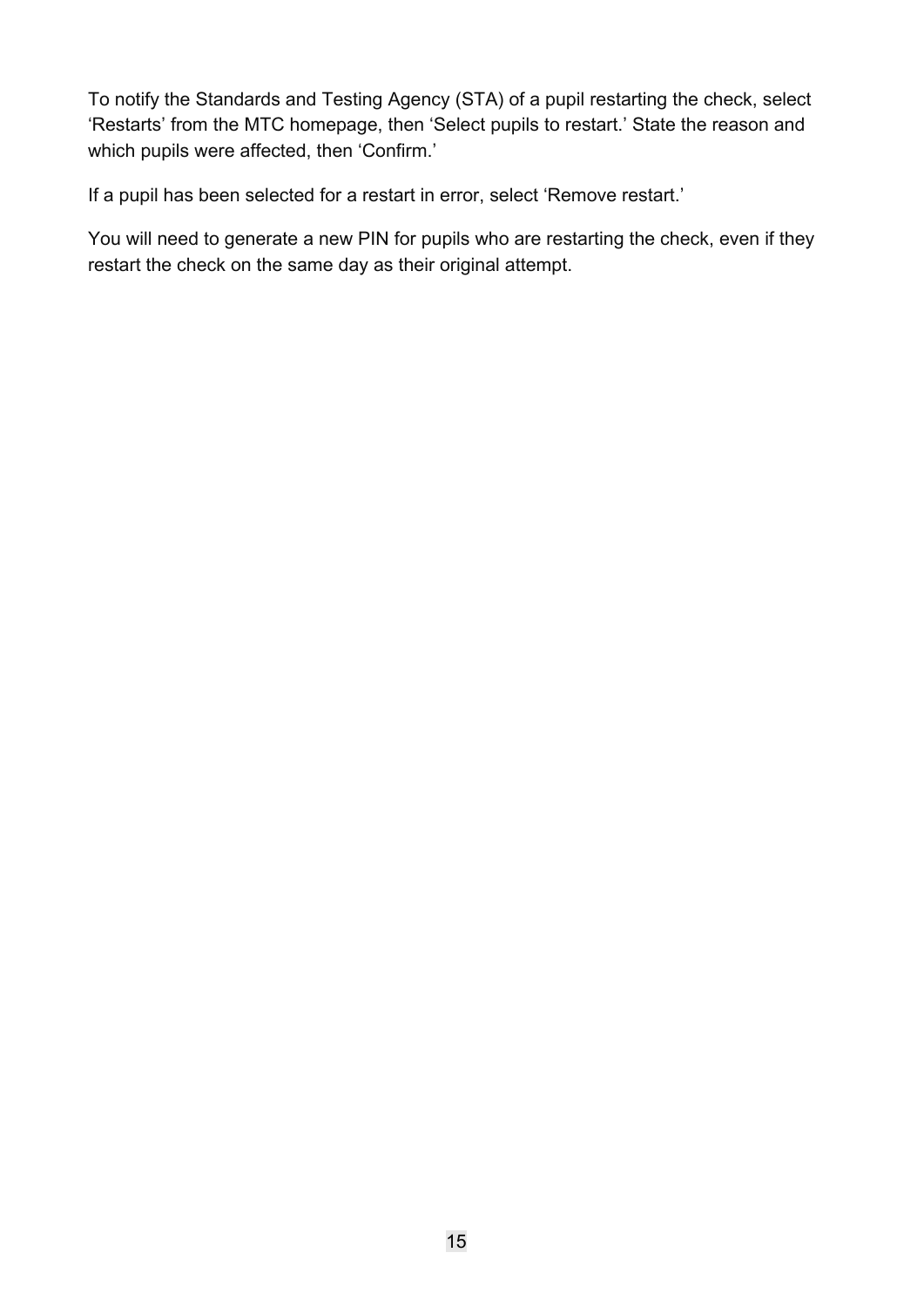To notify the Standards and Testing Agency (STA) of a pupil restarting the check, select 'Restarts' from the MTC homepage, then 'Select pupils to restart.' State the reason and which pupils were affected, then 'Confirm.'

If a pupil has been selected for a restart in error, select 'Remove restart.'

You will need to generate a new PIN for pupils who are restarting the check, even if they restart the check on the same day as their original attempt.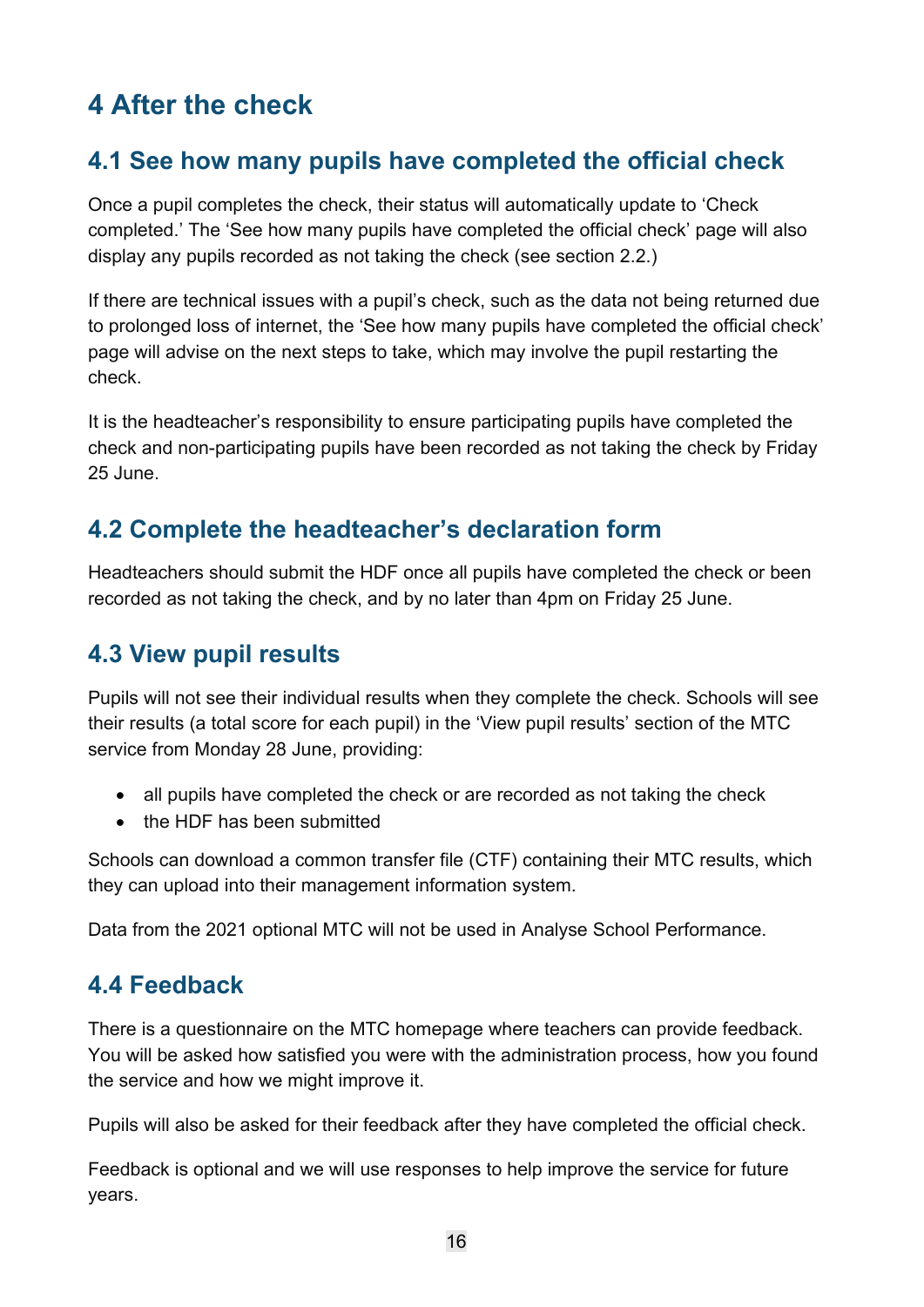# <span id="page-15-0"></span>**4 After the check**

## <span id="page-15-1"></span>**4.1 See how many pupils have completed the official check**

Once a pupil completes the check, their status will automatically update to 'Check completed.' The 'See how many pupils have completed the official check' page will also display any pupils recorded as not taking the check (see section 2.2.)

If there are technical issues with a pupil's check, such as the data not being returned due to prolonged loss of internet, the 'See how many pupils have completed the official check' page will advise on the next steps to take, which may involve the pupil restarting the check.

It is the headteacher's responsibility to ensure participating pupils have completed the check and non-participating pupils have been recorded as not taking the check by Friday 25 June.

## <span id="page-15-2"></span>**4.2 Complete the headteacher's declaration form**

Headteachers should submit the HDF once all pupils have completed the check or been recorded as not taking the check, and by no later than 4pm on Friday 25 June.

## <span id="page-15-3"></span>**4.3 View pupil results**

Pupils will not see their individual results when they complete the check. Schools will see their results (a total score for each pupil) in the 'View pupil results' section of the MTC service from Monday 28 June, providing:

- all pupils have completed the check or are recorded as not taking the check
- the HDF has been submitted

Schools can download a common transfer file (CTF) containing their MTC results, which they can upload into their management information system.

Data from the 2021 optional MTC will not be used in Analyse School Performance.

## <span id="page-15-4"></span>**4.4 Feedback**

There is a questionnaire on the MTC homepage where teachers can provide feedback. You will be asked how satisfied you were with the administration process, how you found the service and how we might improve it.

Pupils will also be asked for their feedback after they have completed the official check.

Feedback is optional and we will use responses to help improve the service for future years.